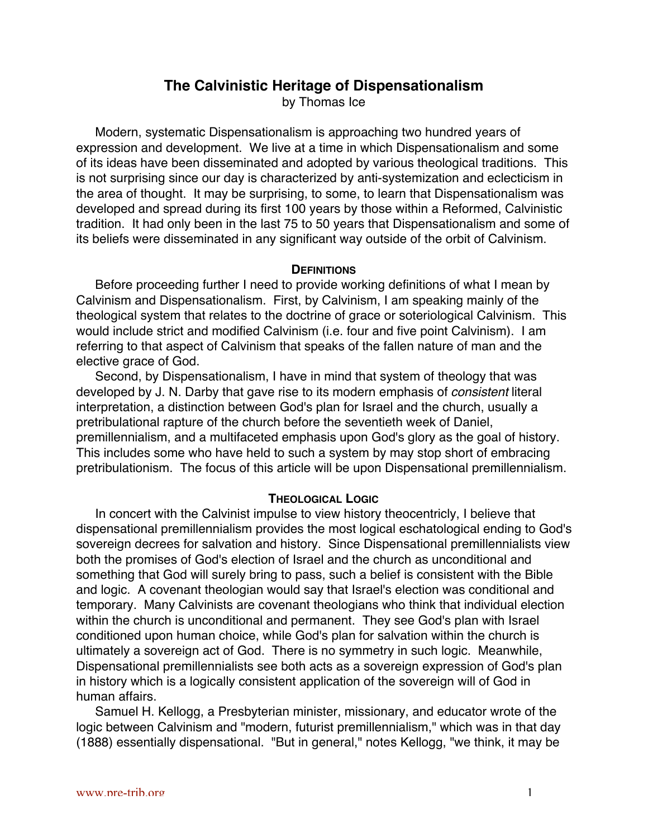# **The Calvinistic Heritage of Dispensationalism**

by Thomas Ice

Modern, systematic Dispensationalism is approaching two hundred years of expression and development. We live at a time in which Dispensationalism and some of its ideas have been disseminated and adopted by various theological traditions. This is not surprising since our day is characterized by anti-systemization and eclecticism in the area of thought. It may be surprising, to some, to learn that Dispensationalism was developed and spread during its first 100 years by those within a Reformed, Calvinistic tradition. It had only been in the last 75 to 50 years that Dispensationalism and some of its beliefs were disseminated in any significant way outside of the orbit of Calvinism.

#### **DEFINITIONS**

Before proceeding further I need to provide working definitions of what I mean by Calvinism and Dispensationalism. First, by Calvinism, I am speaking mainly of the theological system that relates to the doctrine of grace or soteriological Calvinism. This would include strict and modified Calvinism (i.e. four and five point Calvinism). I am referring to that aspect of Calvinism that speaks of the fallen nature of man and the elective grace of God.

Second, by Dispensationalism, I have in mind that system of theology that was developed by J. N. Darby that gave rise to its modern emphasis of *consistent* literal interpretation, a distinction between God's plan for Israel and the church, usually a pretribulational rapture of the church before the seventieth week of Daniel, premillennialism, and a multifaceted emphasis upon God's glory as the goal of history. This includes some who have held to such a system by may stop short of embracing pretribulationism. The focus of this article will be upon Dispensational premillennialism.

#### **THEOLOGICAL LOGIC**

In concert with the Calvinist impulse to view history theocentricly, I believe that dispensational premillennialism provides the most logical eschatological ending to God's sovereign decrees for salvation and history. Since Dispensational premillennialists view both the promises of God's election of Israel and the church as unconditional and something that God will surely bring to pass, such a belief is consistent with the Bible and logic. A covenant theologian would say that Israel's election was conditional and temporary. Many Calvinists are covenant theologians who think that individual election within the church is unconditional and permanent. They see God's plan with Israel conditioned upon human choice, while God's plan for salvation within the church is ultimately a sovereign act of God. There is no symmetry in such logic. Meanwhile, Dispensational premillennialists see both acts as a sovereign expression of God's plan in history which is a logically consistent application of the sovereign will of God in human affairs.

Samuel H. Kellogg, a Presbyterian minister, missionary, and educator wrote of the logic between Calvinism and "modern, futurist premillennialism," which was in that day (1888) essentially dispensational. "But in general," notes Kellogg, "we think, it may be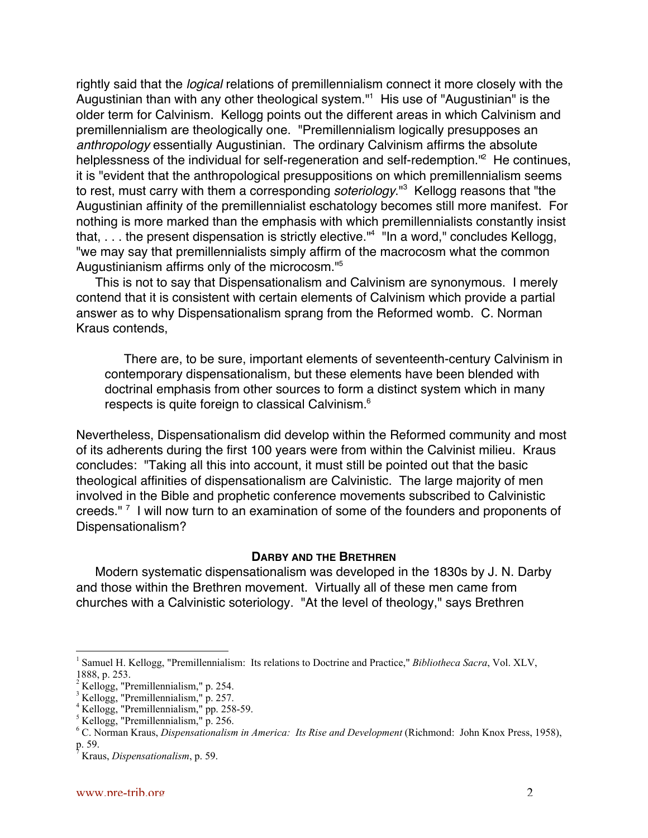rightly said that the *logical* relations of premillennialism connect it more closely with the Augustinian than with any other theological system."<sup>1</sup> His use of "Augustinian" is the older term for Calvinism. Kellogg points out the different areas in which Calvinism and premillennialism are theologically one. "Premillennialism logically presupposes an anthropology essentially Augustinian. The ordinary Calvinism affirms the absolute helplessness of the individual for self-regeneration and self-redemption."<sup>2</sup> He continues, it is "evident that the anthropological presuppositions on which premillennialism seems to rest, must carry with them a corresponding *soteriology*."<sup>3</sup> Kellogg reasons that "the Augustinian affinity of the premillennialist eschatology becomes still more manifest. For nothing is more marked than the emphasis with which premillennialists constantly insist that, . . . the present dispensation is strictly elective."<sup>4</sup> "In a word," concludes Kellogg, "we may say that premillennialists simply affirm of the macrocosm what the common Augustinianism affirms only of the microcosm."5

This is not to say that Dispensationalism and Calvinism are synonymous. I merely contend that it is consistent with certain elements of Calvinism which provide a partial answer as to why Dispensationalism sprang from the Reformed womb. C. Norman Kraus contends,

There are, to be sure, important elements of seventeenth-century Calvinism in contemporary dispensationalism, but these elements have been blended with doctrinal emphasis from other sources to form a distinct system which in many respects is quite foreign to classical Calvinism.6

Nevertheless, Dispensationalism did develop within the Reformed community and most of its adherents during the first 100 years were from within the Calvinist milieu. Kraus concludes: "Taking all this into account, it must still be pointed out that the basic theological affinities of dispensationalism are Calvinistic. The large majority of men involved in the Bible and prophetic conference movements subscribed to Calvinistic creeds."<sup>7</sup> I will now turn to an examination of some of the founders and proponents of Dispensationalism?

### **DARBY AND THE BRETHREN**

Modern systematic dispensationalism was developed in the 1830s by J. N. Darby and those within the Brethren movement. Virtually all of these men came from churches with a Calvinistic soteriology. "At the level of theology," says Brethren

 $\frac{1}{1}$  Samuel H. Kellogg, "Premillennialism: Its relations to Doctrine and Practice," *Bibliotheca Sacra*, Vol. XLV, 1888, p. 253.

<sup>&</sup>lt;sup>2</sup> Kellogg, "Premillennialism," p. 254.<br><sup>3</sup> Kellogg, "Premillennialism," p. 257.<br><sup>4</sup> Kellogg, "Premillennialism," pp. 258-59.<br><sup>5</sup> Kellogg, "Premillennialism," p. 256.

<sup>&</sup>lt;sup>6</sup> C. Norman Kraus, *Dispensationalism in America: Its Rise and Development* (Richmond: John Knox Press, 1958), p. 59. 7

Kraus, *Dispensationalism*, p. 59.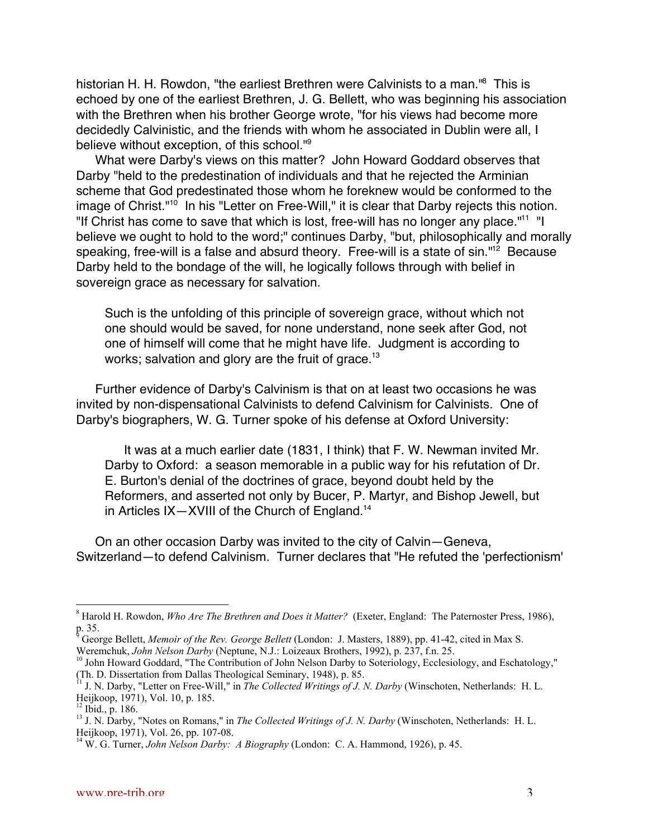historian H. H. Rowdon, "the earliest Brethren were Calvinists to a man."<sup>8</sup> This is echoed by one of the earliest Brethren, J. G. Bellett, who was beginning his association with the Brethren when his brother George wrote, "for his views had become more decidedly Calvinistic, and the friends with whom he associated in Dublin were all, I believe without exception, of this school."9

What were Darby's views on this matter? John Howard Goddard observes that Darby "held to the predestination of individuals and that he rejected the Arminian scheme that God predestinated those whom he foreknew would be conformed to the image of Christ."<sup>10</sup> In his "Letter on Free-Will," it is clear that Darby rejects this notion. "If Christ has come to save that which is lost, free-will has no longer any place."<sup>11</sup> "I believe we ought to hold to the word;" continues Darby, "but, philosophically and morally speaking, free-will is a false and absurd theory. Free-will is a state of sin."<sup>12</sup> Because Darby held to the bondage of the will, he logically follows through with belief in sovereign grace as necessary for salvation.

Such is the unfolding of this principle of sovereign grace, without which not one should would be saved, for none understand, none seek after God, not one of himself will come that he might have life. Judgment is according to works; salvation and glory are the fruit of grace.<sup>13</sup>

Further evidence of Darby's Calvinism is that on at least two occasions he was invited by non-dispensational Calvinists to defend Calvinism for Calvinists. One of Darby's biographers, W. G. Turner spoke of his defense at Oxford University:

It was at a much earlier date (1831, I think) that F. W. Newman invited Mr. Darby to Oxford: a season memorable in a public way for his refutation of Dr. E. Burton's denial of the doctrines of grace, beyond doubt held by the Reformers, and asserted not only by Bucer, P. Martyr, and Bishop Jewell, but in Articles  $IX - XVIII$  of the Church of England.<sup>14</sup>

On an other occasion Darby was invited to the city of Calvin—Geneva, Switzerland—to defend Calvinism. Turner declares that "He refuted the 'perfectionism'

 <sup>8</sup> <sup>8</sup> Harold H. Rowdon, *Who Are The Brethren and Does it Matter?* (Exeter, England: The Paternoster Press, 1986), p. 35.

<sup>9</sup> George Bellett, *Memoir of the Rev. George Bellett* (London: J. Masters, 1889), pp. 41-42, cited in Max S. Weremchuk, *John Nelson Darby* (Neptune, N.J.: Loizeaux Brothers, 1992), p. 237, f.n. 25. <sup>10</sup>

<sup>&</sup>lt;sup>10</sup> John Howard Goddard, "The Contribution of John Nelson Darby to Soteriology, Ecclesiology, and Eschatology," (Th. D. Dissertation from Dallas Theological Seminary, 1948), p. 85. 11 J. N. Darby, "Letter on Free-Will," in *The Collected Writings of J. N. Darby* (Winschoten, Netherlands: H. L.

Heijkoop, 1971), Vol. 10, p. 185.

 $12$  Ibid., p. 186.

<sup>&</sup>lt;sup>13</sup> J. N. Darby, "Notes on Romans," in *The Collected Writings of J. N. Darby* (Winschoten, Netherlands: H. L. Heijkoop, 1971), Vol. 26, pp. 107-08. 14 W. G. Turner, *John Nelson Darby: A Biography* (London: C. A. Hammond, 1926), p. 45.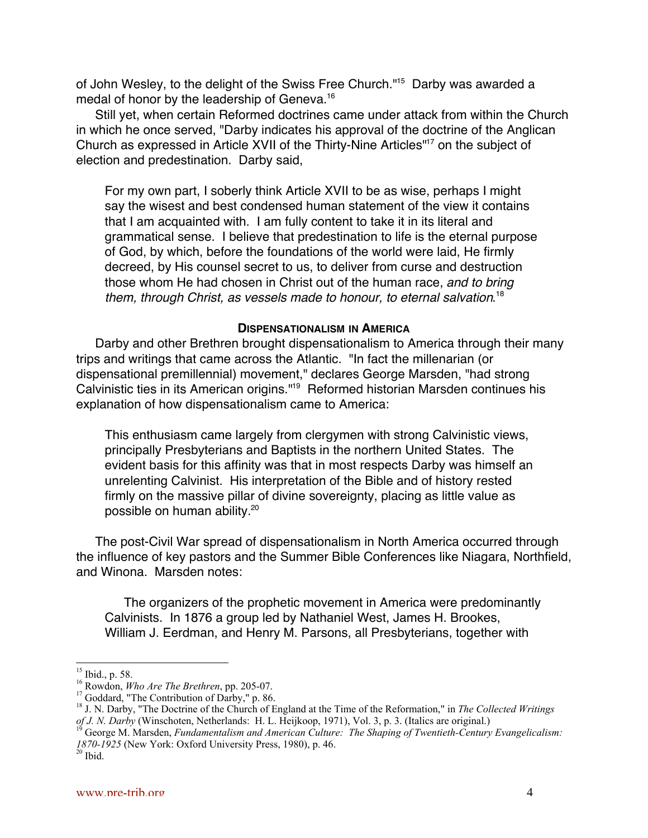of John Wesley, to the delight of the Swiss Free Church."<sup>15</sup> Darby was awarded a medal of honor by the leadership of Geneva.<sup>16</sup>

Still yet, when certain Reformed doctrines came under attack from within the Church in which he once served, "Darby indicates his approval of the doctrine of the Anglican Church as expressed in Article XVII of the Thirty-Nine Articles"<sup>17</sup> on the subject of election and predestination. Darby said,

For my own part, I soberly think Article XVII to be as wise, perhaps I might say the wisest and best condensed human statement of the view it contains that I am acquainted with. I am fully content to take it in its literal and grammatical sense. I believe that predestination to life is the eternal purpose of God, by which, before the foundations of the world were laid, He firmly decreed, by His counsel secret to us, to deliver from curse and destruction those whom He had chosen in Christ out of the human race, and to bring them, through Christ, as vessels made to honour, to eternal salvation.<sup>18</sup>

#### **DISPENSATIONALISM IN AMERICA**

Darby and other Brethren brought dispensationalism to America through their many trips and writings that came across the Atlantic. "In fact the millenarian (or dispensational premillennial) movement," declares George Marsden, "had strong Calvinistic ties in its American origins."<sup>19</sup> Reformed historian Marsden continues his explanation of how dispensationalism came to America:

This enthusiasm came largely from clergymen with strong Calvinistic views, principally Presbyterians and Baptists in the northern United States. The evident basis for this affinity was that in most respects Darby was himself an unrelenting Calvinist. His interpretation of the Bible and of history rested firmly on the massive pillar of divine sovereignty, placing as little value as possible on human ability.20

The post-Civil War spread of dispensationalism in North America occurred through the influence of key pastors and the Summer Bible Conferences like Niagara, Northfield, and Winona. Marsden notes:

The organizers of the prophetic movement in America were predominantly Calvinists. In 1876 a group led by Nathaniel West, James H. Brookes, William J. Eerdman, and Henry M. Parsons, all Presbyterians, together with

 $15$  Ibid., p. 58.

<sup>&</sup>lt;sup>16</sup> Rowdon, *Who Are The Brethren*, pp. 205-07.

<sup>&</sup>lt;sup>17</sup> Goddard, "The Contribution of Darby," p. 86.

<sup>&</sup>lt;sup>18</sup> J. N. Darby, "The Doctrine of the Church of England at the Time of the Reformation," in *The Collected Writings of J. N. Darby* (Winschoten, Netherlands: H. L. Heijkoop, 1971), Vol. 3, p. 3. (Italics are original.)

George M. Marsden, *Fundamentalism and American Culture: The Shaping of Twentieth-Century Evangelicalism: 1870-1925* (New York: Oxford University Press, 1980), p. 46.<br><sup>20</sup> Ibid.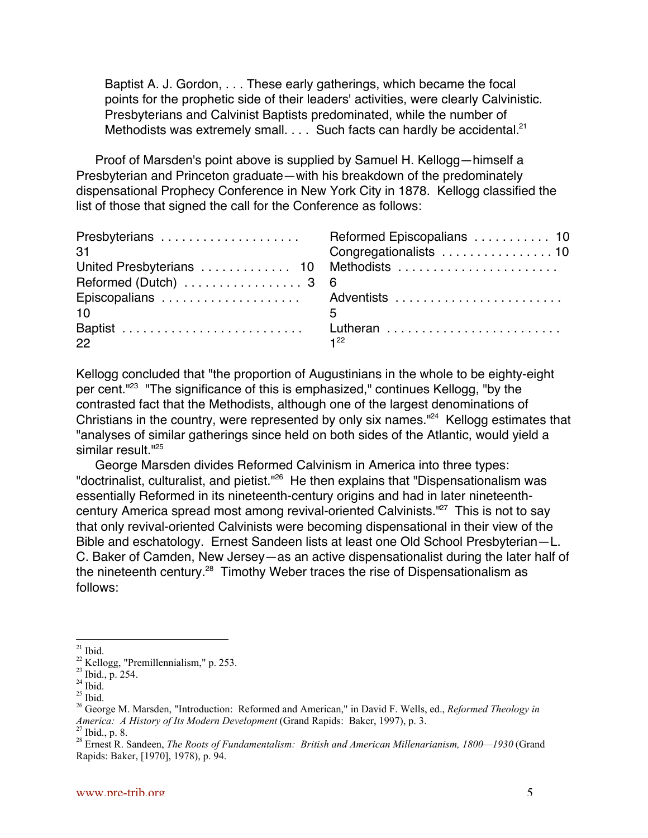Baptist A. J. Gordon, . . . These early gatherings, which became the focal points for the prophetic side of their leaders' activities, were clearly Calvinistic. Presbyterians and Calvinist Baptists predominated, while the number of Methodists was extremely small.  $\ldots$  Such facts can hardly be accidental.<sup>21</sup>

Proof of Marsden's point above is supplied by Samuel H. Kellogg—himself a Presbyterian and Princeton graduate—with his breakdown of the predominately dispensational Prophecy Conference in New York City in 1878. Kellogg classified the list of those that signed the call for the Conference as follows:

| 31                                                        |          |
|-----------------------------------------------------------|----------|
| United Presbyterians  10 Methodists                       |          |
| Reformed (Dutch) $\ldots \ldots \ldots \ldots \ldots 3$ 6 |          |
|                                                           |          |
| 10                                                        | 5        |
|                                                           |          |
| 22                                                        | $1^{22}$ |

Kellogg concluded that "the proportion of Augustinians in the whole to be eighty-eight per cent."<sup>23</sup> "The significance of this is emphasized," continues Kellogg, "by the contrasted fact that the Methodists, although one of the largest denominations of Christians in the country, were represented by only six names."<sup>24</sup> Kellogg estimates that "analyses of similar gatherings since held on both sides of the Atlantic, would yield a similar result.<sup>"25</sup>

George Marsden divides Reformed Calvinism in America into three types: "doctrinalist, culturalist, and pietist."<sup>26</sup> He then explains that "Dispensationalism was essentially Reformed in its nineteenth-century origins and had in later nineteenthcentury America spread most among revival-oriented Calvinists."<sup>27</sup> This is not to say that only revival-oriented Calvinists were becoming dispensational in their view of the Bible and eschatology. Ernest Sandeen lists at least one Old School Presbyterian—L. C. Baker of Camden, New Jersey—as an active dispensationalist during the later half of the nineteenth century.<sup>28</sup> Timothy Weber traces the rise of Dispensationalism as follows:

 <sup>21</sup> Ibid.

 $^{22}$  Kellogg, "Premillennialism," p. 253.<br> $^{23}$  Ibid., p. 254.

 $24$  Ibid.

 $25$  Ibid.

<sup>26</sup> George M. Marsden, "Introduction: Reformed and American," in David F. Wells, ed., *Reformed Theology in America: A History of Its Modern Development* (Grand Rapids: Baker, 1997), p. 3. Ibid., p. 8.

<sup>28</sup> Ernest R. Sandeen, *The Roots of Fundamentalism: British and American Millenarianism, 1800—1930* (Grand Rapids: Baker, [1970], 1978), p. 94.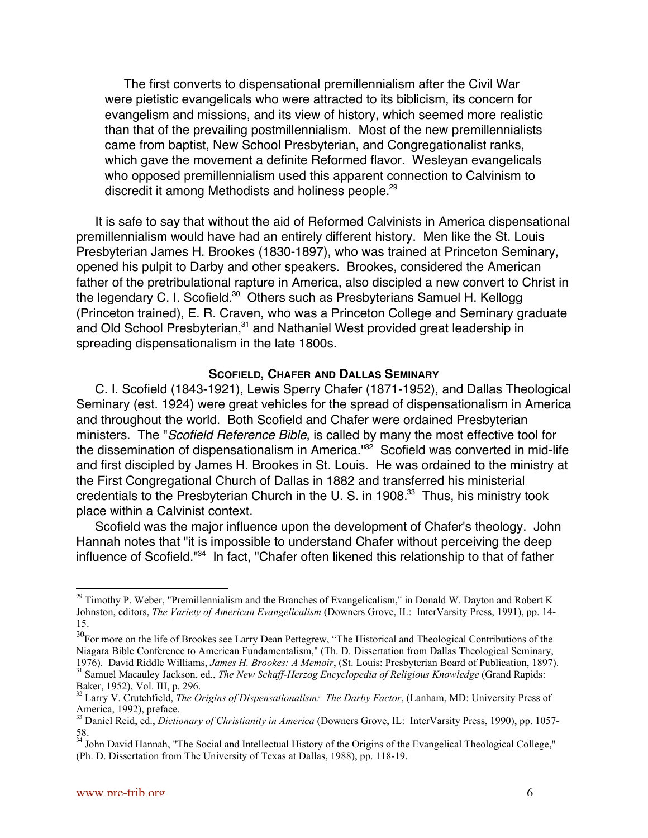The first converts to dispensational premillennialism after the Civil War were pietistic evangelicals who were attracted to its biblicism, its concern for evangelism and missions, and its view of history, which seemed more realistic than that of the prevailing postmillennialism. Most of the new premillennialists came from baptist, New School Presbyterian, and Congregationalist ranks, which gave the movement a definite Reformed flavor. Wesleyan evangelicals who opposed premillennialism used this apparent connection to Calvinism to discredit it among Methodists and holiness people.<sup>29</sup>

It is safe to say that without the aid of Reformed Calvinists in America dispensational premillennialism would have had an entirely different history. Men like the St. Louis Presbyterian James H. Brookes (1830-1897), who was trained at Princeton Seminary, opened his pulpit to Darby and other speakers. Brookes, considered the American father of the pretribulational rapture in America, also discipled a new convert to Christ in the legendary C. I. Scofield.<sup>30</sup> Others such as Presbyterians Samuel H. Kellogg (Princeton trained), E. R. Craven, who was a Princeton College and Seminary graduate and Old School Presbyterian,<sup>31</sup> and Nathaniel West provided great leadership in spreading dispensationalism in the late 1800s.

#### **SCOFIELD, CHAFER AND DALLAS SEMINARY**

C. I. Scofield (1843-1921), Lewis Sperry Chafer (1871-1952), and Dallas Theological Seminary (est. 1924) were great vehicles for the spread of dispensationalism in America and throughout the world. Both Scofield and Chafer were ordained Presbyterian ministers. The "Scofield Reference Bible, is called by many the most effective tool for the dissemination of dispensationalism in America."<sup>32</sup> Scofield was converted in mid-life and first discipled by James H. Brookes in St. Louis. He was ordained to the ministry at the First Congregational Church of Dallas in 1882 and transferred his ministerial credentials to the Presbyterian Church in the U. S. in 1908.<sup>33</sup> Thus, his ministry took place within a Calvinist context.

Scofield was the major influence upon the development of Chafer's theology. John Hannah notes that "it is impossible to understand Chafer without perceiving the deep influence of Scofield."<sup>34</sup> In fact, "Chafer often likened this relationship to that of father

<sup>&</sup>lt;sup>29</sup> Timothy P. Weber, "Premillennialism and the Branches of Evangelicalism," in Donald W. Dayton and Robert K Johnston, editors, *The Variety of American Evangelicalism* (Downers Grove, IL: InterVarsity Press, 1991), pp. 14- 15.

 $30$  For more on the life of Brookes see Larry Dean Pettegrew, "The Historical and Theological Contributions of the Niagara Bible Conference to American Fundamentalism," (Th. D. Dissertation from Dallas Theological Seminary, 1976). David Riddle Williams, James H. Brookes: A Memoir, (St. Louis: Presbyterian Board of Publication, 1897).<br><sup>31</sup> Samuel Macauley Jackson, ed., *The New Schaff-Herzog Encyclopedia of Religious Knowledge* (Grand Rapids:

Baker, 1952), Vol. III, p. 296.<br><sup>32</sup> Larry V. Crutchfield, *The Origins of Dispensationalism: The Darby Factor*, (Lanham, MD: University Press of

America, 1992), preface. 33 Daniel Reid, ed., *Dictionary of Christianity in America* (Downers Grove, IL: InterVarsity Press, 1990), pp. 1057-

<sup>58.</sup> 34 John David Hannah, "The Social and Intellectual History of the Origins of the Evangelical Theological College,"

<sup>(</sup>Ph. D. Dissertation from The University of Texas at Dallas, 1988), pp. 118-19.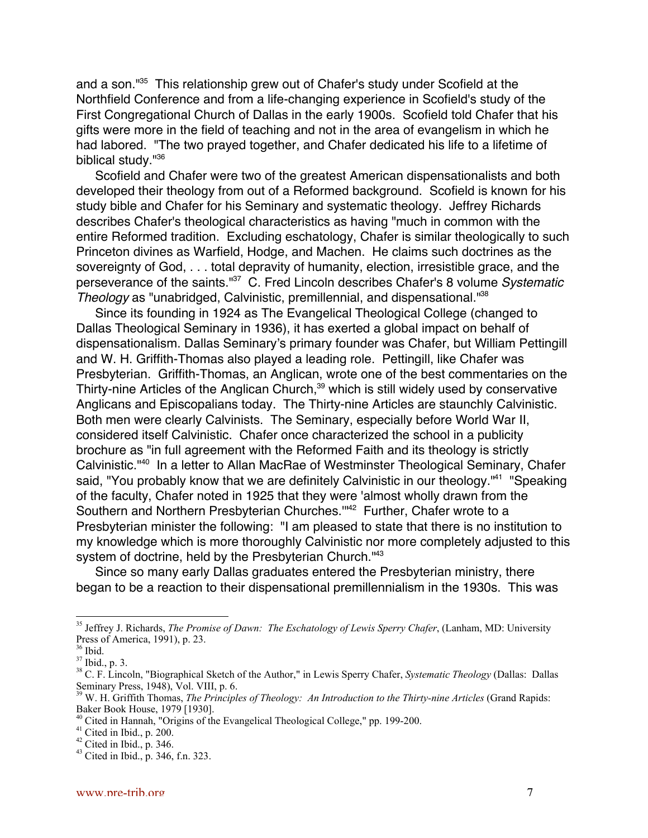and a son."<sup>35</sup> This relationship grew out of Chafer's study under Scofield at the Northfield Conference and from a life-changing experience in Scofield's study of the First Congregational Church of Dallas in the early 1900s. Scofield told Chafer that his gifts were more in the field of teaching and not in the area of evangelism in which he had labored. "The two prayed together, and Chafer dedicated his life to a lifetime of biblical study.<sup>1136</sup>

Scofield and Chafer were two of the greatest American dispensationalists and both developed their theology from out of a Reformed background. Scofield is known for his study bible and Chafer for his Seminary and systematic theology. Jeffrey Richards describes Chafer's theological characteristics as having "much in common with the entire Reformed tradition. Excluding eschatology, Chafer is similar theologically to such Princeton divines as Warfield, Hodge, and Machen. He claims such doctrines as the sovereignty of God, . . . total depravity of humanity, election, irresistible grace, and the perseverance of the saints."<sup>37</sup> C. Fred Lincoln describes Chafer's 8 volume Systematic Theology as "unabridged, Calvinistic, premillennial, and dispensational."38

Since its founding in 1924 as The Evangelical Theological College (changed to Dallas Theological Seminary in 1936), it has exerted a global impact on behalf of dispensationalism. Dallas Seminary's primary founder was Chafer, but William Pettingill and W. H. Griffith-Thomas also played a leading role. Pettingill, like Chafer was Presbyterian. Griffith-Thomas, an Anglican, wrote one of the best commentaries on the Thirty-nine Articles of the Anglican Church,<sup>39</sup> which is still widely used by conservative Anglicans and Episcopalians today. The Thirty-nine Articles are staunchly Calvinistic. Both men were clearly Calvinists. The Seminary, especially before World War II, considered itself Calvinistic. Chafer once characterized the school in a publicity brochure as "in full agreement with the Reformed Faith and its theology is strictly Calvinistic."<sup>40</sup> In a letter to Allan MacRae of Westminster Theological Seminary, Chafer said, "You probably know that we are definitely Calvinistic in our theology."<sup>41</sup> "Speaking of the faculty, Chafer noted in 1925 that they were 'almost wholly drawn from the Southern and Northern Presbyterian Churches."<sup>42</sup> Further, Chafer wrote to a Presbyterian minister the following: "I am pleased to state that there is no institution to my knowledge which is more thoroughly Calvinistic nor more completely adjusted to this system of doctrine, held by the Presbyterian Church.<sup>143</sup>

Since so many early Dallas graduates entered the Presbyterian ministry, there began to be a reaction to their dispensational premillennialism in the 1930s. This was

<sup>&</sup>lt;sup>35</sup> Jeffrey J. Richards, *The Promise of Dawn: The Eschatology of Lewis Sperry Chafer*, (Lanham, MD: University Press of America, 1991), p. 23.

<sup>36</sup> Ibid.

 $37$  Ibid., p. 3.

<sup>38</sup> C. F. Lincoln, "Biographical Sketch of the Author," in Lewis Sperry Chafer, *Systematic Theology* (Dallas: Dallas Seminary Press, 1948), Vol. VIII, p. 6. 39 W. H. Griffith Thomas, *The Principles of Theology: An Introduction to the Thirty-nine Articles* (Grand Rapids:

Baker Book House, 1979 [1930].

<sup>&</sup>lt;sup>40</sup> Cited in Hannah, "Origins of the Evangelical Theological College," pp. 199-200.

 $41$  Cited in Ibid., p. 200.

 $42$  Cited in Ibid., p. 346.

<sup>43</sup> Cited in Ibid., p. 346, f.n. 323.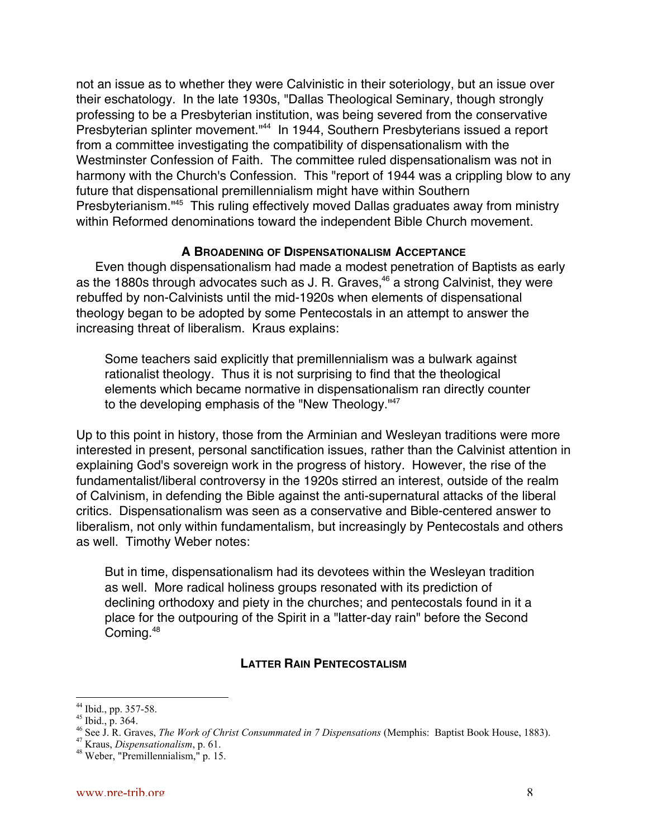not an issue as to whether they were Calvinistic in their soteriology, but an issue over their eschatology. In the late 1930s, "Dallas Theological Seminary, though strongly professing to be a Presbyterian institution, was being severed from the conservative Presbyterian splinter movement."<sup>44</sup> In 1944, Southern Presbyterians issued a report from a committee investigating the compatibility of dispensationalism with the Westminster Confession of Faith. The committee ruled dispensationalism was not in harmony with the Church's Confession. This "report of 1944 was a crippling blow to any future that dispensational premillennialism might have within Southern Presbyterianism."<sup>45</sup> This ruling effectively moved Dallas graduates away from ministry within Reformed denominations toward the independent Bible Church movement.

## **A BROADENING OF DISPENSATIONALISM ACCEPTANCE**

Even though dispensationalism had made a modest penetration of Baptists as early as the 1880s through advocates such as J. R. Graves,<sup>46</sup> a strong Calvinist, they were rebuffed by non-Calvinists until the mid-1920s when elements of dispensational theology began to be adopted by some Pentecostals in an attempt to answer the increasing threat of liberalism. Kraus explains:

Some teachers said explicitly that premillennialism was a bulwark against rationalist theology. Thus it is not surprising to find that the theological elements which became normative in dispensationalism ran directly counter to the developing emphasis of the "New Theology."<sup>47</sup>

Up to this point in history, those from the Arminian and Wesleyan traditions were more interested in present, personal sanctification issues, rather than the Calvinist attention in explaining God's sovereign work in the progress of history. However, the rise of the fundamentalist/liberal controversy in the 1920s stirred an interest, outside of the realm of Calvinism, in defending the Bible against the anti-supernatural attacks of the liberal critics. Dispensationalism was seen as a conservative and Bible-centered answer to liberalism, not only within fundamentalism, but increasingly by Pentecostals and others as well. Timothy Weber notes:

But in time, dispensationalism had its devotees within the Wesleyan tradition as well. More radical holiness groups resonated with its prediction of declining orthodoxy and piety in the churches; and pentecostals found in it a place for the outpouring of the Spirit in a "latter-day rain" before the Second Coming.48

## **LATTER RAIN PENTECOSTALISM**

 <sup>44</sup> Ibid., pp. 357-58.

<sup>45</sup> Ibid., p. 364.<br><sup>46</sup> See J. R. Graves, *The Work of Christ Consummated in 7 Dispensations* (Memphis: Baptist Book House, 1883).<br><sup>47</sup> Kasus, Displaus titualism, n. Cl.

<sup>&</sup>lt;sup>4/</sup> Kraus, *Dispensationalism*, p. 61.<br><sup>48</sup> Weber, "Premillennialism," p. 15.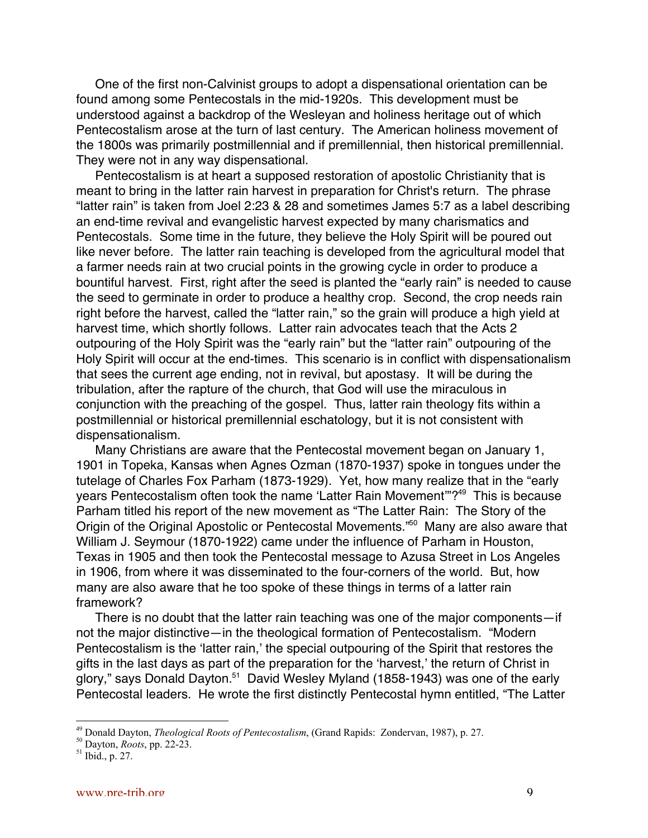One of the first non-Calvinist groups to adopt a dispensational orientation can be found among some Pentecostals in the mid-1920s. This development must be understood against a backdrop of the Wesleyan and holiness heritage out of which Pentecostalism arose at the turn of last century. The American holiness movement of the 1800s was primarily postmillennial and if premillennial, then historical premillennial. They were not in any way dispensational.

Pentecostalism is at heart a supposed restoration of apostolic Christianity that is meant to bring in the latter rain harvest in preparation for Christ's return. The phrase "latter rain" is taken from Joel 2:23 & 28 and sometimes James 5:7 as a label describing an end-time revival and evangelistic harvest expected by many charismatics and Pentecostals. Some time in the future, they believe the Holy Spirit will be poured out like never before. The latter rain teaching is developed from the agricultural model that a farmer needs rain at two crucial points in the growing cycle in order to produce a bountiful harvest. First, right after the seed is planted the "early rain" is needed to cause the seed to germinate in order to produce a healthy crop. Second, the crop needs rain right before the harvest, called the "latter rain," so the grain will produce a high yield at harvest time, which shortly follows. Latter rain advocates teach that the Acts 2 outpouring of the Holy Spirit was the "early rain" but the "latter rain" outpouring of the Holy Spirit will occur at the end-times. This scenario is in conflict with dispensationalism that sees the current age ending, not in revival, but apostasy. It will be during the tribulation, after the rapture of the church, that God will use the miraculous in conjunction with the preaching of the gospel. Thus, latter rain theology fits within a postmillennial or historical premillennial eschatology, but it is not consistent with dispensationalism.

Many Christians are aware that the Pentecostal movement began on January 1, 1901 in Topeka, Kansas when Agnes Ozman (1870-1937) spoke in tongues under the tutelage of Charles Fox Parham (1873-1929). Yet, how many realize that in the "early years Pentecostalism often took the name 'Latter Rain Movement'"?<sup>49</sup> This is because Parham titled his report of the new movement as "The Latter Rain: The Story of the Origin of the Original Apostolic or Pentecostal Movements."<sup>50</sup> Many are also aware that William J. Seymour (1870-1922) came under the influence of Parham in Houston, Texas in 1905 and then took the Pentecostal message to Azusa Street in Los Angeles in 1906, from where it was disseminated to the four-corners of the world. But, how many are also aware that he too spoke of these things in terms of a latter rain framework?

There is no doubt that the latter rain teaching was one of the major components—if not the major distinctive—in the theological formation of Pentecostalism. "Modern Pentecostalism is the 'latter rain,' the special outpouring of the Spirit that restores the gifts in the last days as part of the preparation for the 'harvest,' the return of Christ in glory," says Donald Dayton.<sup>51</sup> David Wesley Myland (1858-1943) was one of the early Pentecostal leaders. He wrote the first distinctly Pentecostal hymn entitled, "The Latter

<sup>&</sup>lt;sup>49</sup> <sup>49</sup> Donald Dayton, *Theological Roots of Pentecostalism*, (Grand Rapids: Zondervan, 1987), p. 27.<br><sup>50</sup> Dortan, *Pasta mu.* 22.22

<sup>&</sup>lt;sup>50</sup> Dayton, *Roots*, pp. 22-23.

 $^{51}$  Ibid., p. 27.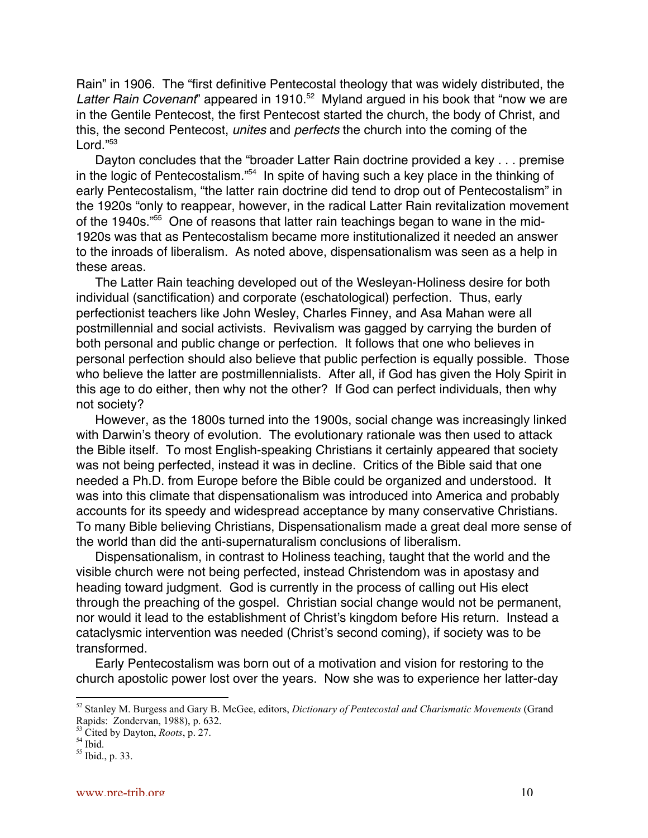Rain" in 1906. The "first definitive Pentecostal theology that was widely distributed, the Latter Rain Covenant" appeared in 1910.<sup>52</sup> Myland argued in his book that "now we are in the Gentile Pentecost, the first Pentecost started the church, the body of Christ, and this, the second Pentecost, *unites* and *perfects* the church into the coming of the Lord."53

Dayton concludes that the "broader Latter Rain doctrine provided a key . . . premise in the logic of Pentecostalism."<sup>54</sup> In spite of having such a key place in the thinking of early Pentecostalism, "the latter rain doctrine did tend to drop out of Pentecostalism" in the 1920s "only to reappear, however, in the radical Latter Rain revitalization movement of the 1940s."<sup>55</sup> One of reasons that latter rain teachings began to wane in the mid-1920s was that as Pentecostalism became more institutionalized it needed an answer to the inroads of liberalism. As noted above, dispensationalism was seen as a help in these areas.

The Latter Rain teaching developed out of the Wesleyan-Holiness desire for both individual (sanctification) and corporate (eschatological) perfection. Thus, early perfectionist teachers like John Wesley, Charles Finney, and Asa Mahan were all postmillennial and social activists. Revivalism was gagged by carrying the burden of both personal and public change or perfection. It follows that one who believes in personal perfection should also believe that public perfection is equally possible. Those who believe the latter are postmillennialists. After all, if God has given the Holy Spirit in this age to do either, then why not the other? If God can perfect individuals, then why not society?

However, as the 1800s turned into the 1900s, social change was increasingly linked with Darwin's theory of evolution. The evolutionary rationale was then used to attack the Bible itself. To most English-speaking Christians it certainly appeared that society was not being perfected, instead it was in decline. Critics of the Bible said that one needed a Ph.D. from Europe before the Bible could be organized and understood. It was into this climate that dispensationalism was introduced into America and probably accounts for its speedy and widespread acceptance by many conservative Christians. To many Bible believing Christians, Dispensationalism made a great deal more sense of the world than did the anti-supernaturalism conclusions of liberalism.

Dispensationalism, in contrast to Holiness teaching, taught that the world and the visible church were not being perfected, instead Christendom was in apostasy and heading toward judgment. God is currently in the process of calling out His elect through the preaching of the gospel. Christian social change would not be permanent, nor would it lead to the establishment of Christ's kingdom before His return. Instead a cataclysmic intervention was needed (Christ's second coming), if society was to be transformed.

Early Pentecostalism was born out of a motivation and vision for restoring to the church apostolic power lost over the years. Now she was to experience her latter-day

 <sup>52</sup> Stanley M. Burgess and Gary B. McGee, editors, *Dictionary of Pentecostal and Charismatic Movements* (Grand Rapids: Zondervan, 1988), p. 632.

<sup>&</sup>lt;sup>53</sup> Cited by Dayton, *Roots*, p. 27.<br><sup>54</sup> Ibid.

 $55$  Ibid., p. 33.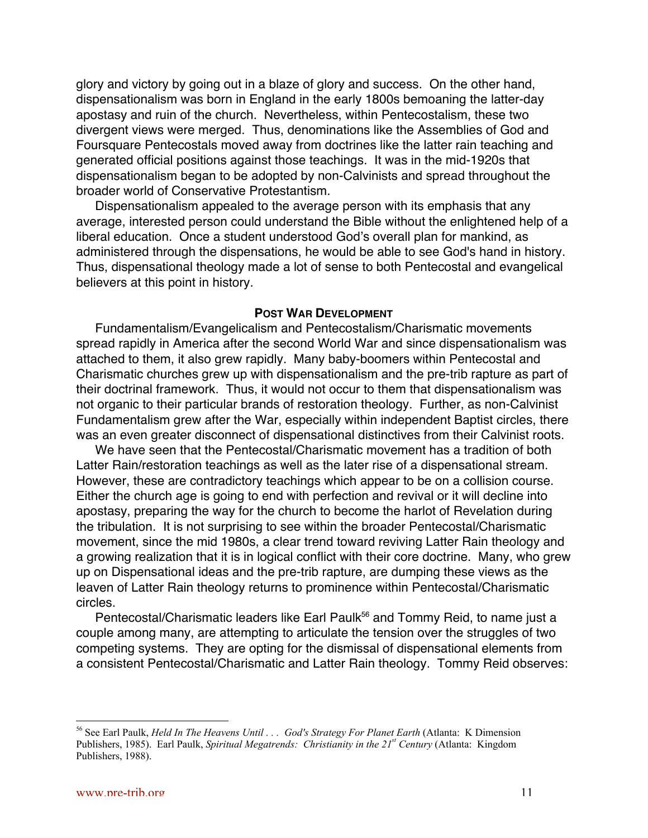glory and victory by going out in a blaze of glory and success. On the other hand, dispensationalism was born in England in the early 1800s bemoaning the latter-day apostasy and ruin of the church. Nevertheless, within Pentecostalism, these two divergent views were merged. Thus, denominations like the Assemblies of God and Foursquare Pentecostals moved away from doctrines like the latter rain teaching and generated official positions against those teachings. It was in the mid-1920s that dispensationalism began to be adopted by non-Calvinists and spread throughout the broader world of Conservative Protestantism.

Dispensationalism appealed to the average person with its emphasis that any average, interested person could understand the Bible without the enlightened help of a liberal education. Once a student understood God's overall plan for mankind, as administered through the dispensations, he would be able to see God's hand in history. Thus, dispensational theology made a lot of sense to both Pentecostal and evangelical believers at this point in history.

#### **POST WAR DEVELOPMENT**

Fundamentalism/Evangelicalism and Pentecostalism/Charismatic movements spread rapidly in America after the second World War and since dispensationalism was attached to them, it also grew rapidly. Many baby-boomers within Pentecostal and Charismatic churches grew up with dispensationalism and the pre-trib rapture as part of their doctrinal framework. Thus, it would not occur to them that dispensationalism was not organic to their particular brands of restoration theology. Further, as non-Calvinist Fundamentalism grew after the War, especially within independent Baptist circles, there was an even greater disconnect of dispensational distinctives from their Calvinist roots.

We have seen that the Pentecostal/Charismatic movement has a tradition of both Latter Rain/restoration teachings as well as the later rise of a dispensational stream. However, these are contradictory teachings which appear to be on a collision course. Either the church age is going to end with perfection and revival or it will decline into apostasy, preparing the way for the church to become the harlot of Revelation during the tribulation. It is not surprising to see within the broader Pentecostal/Charismatic movement, since the mid 1980s, a clear trend toward reviving Latter Rain theology and a growing realization that it is in logical conflict with their core doctrine. Many, who grew up on Dispensational ideas and the pre-trib rapture, are dumping these views as the leaven of Latter Rain theology returns to prominence within Pentecostal/Charismatic circles.

Pentecostal/Charismatic leaders like Earl Paulk<sup>56</sup> and Tommy Reid, to name just a couple among many, are attempting to articulate the tension over the struggles of two competing systems. They are opting for the dismissal of dispensational elements from a consistent Pentecostal/Charismatic and Latter Rain theology. Tommy Reid observes:

<sup>&</sup>lt;sup>56</sup> See Earl Paulk, *Held In The Heavens Until* . . . God's Strategy For Planet Earth (Atlanta: K Dimension Publishers, 1985). Earl Paulk, *Spiritual Megatrends: Christianity in the 21st Century* (Atlanta: Kingdom Publishers, 1988).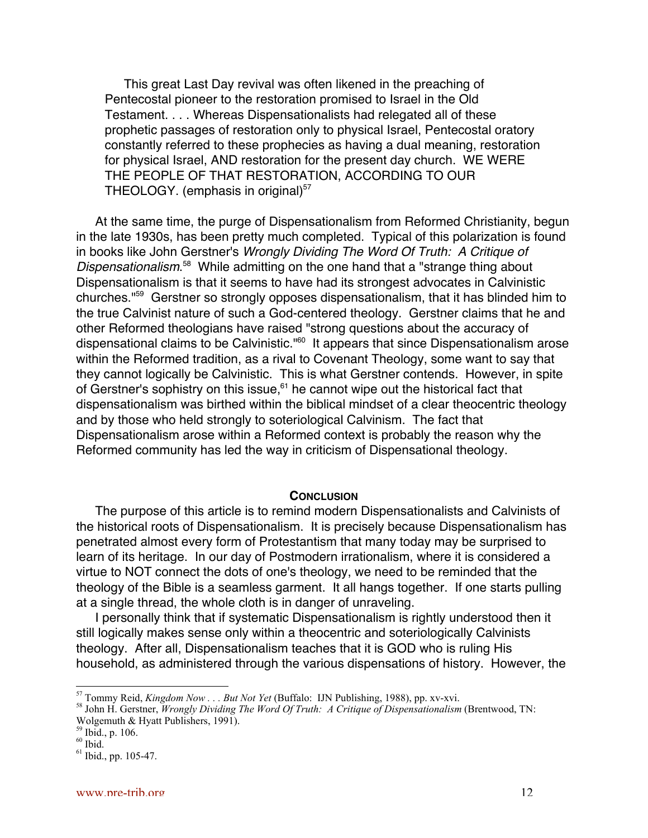This great Last Day revival was often likened in the preaching of Pentecostal pioneer to the restoration promised to Israel in the Old Testament. . . . Whereas Dispensationalists had relegated all of these prophetic passages of restoration only to physical Israel, Pentecostal oratory constantly referred to these prophecies as having a dual meaning, restoration for physical Israel, AND restoration for the present day church. WE WERE THE PEOPLE OF THAT RESTORATION, ACCORDING TO OUR THEOLOGY. (emphasis in original) $57$ 

At the same time, the purge of Dispensationalism from Reformed Christianity, begun in the late 1930s, has been pretty much completed. Typical of this polarization is found in books like John Gerstner's Wrongly Dividing The Word Of Truth: A Critique of Dispensationalism.<sup>58</sup> While admitting on the one hand that a "strange thing about Dispensationalism is that it seems to have had its strongest advocates in Calvinistic churches."59 Gerstner so strongly opposes dispensationalism, that it has blinded him to the true Calvinist nature of such a God-centered theology. Gerstner claims that he and other Reformed theologians have raised "strong questions about the accuracy of dispensational claims to be Calvinistic."<sup>60</sup> It appears that since Dispensationalism arose within the Reformed tradition, as a rival to Covenant Theology, some want to say that they cannot logically be Calvinistic. This is what Gerstner contends. However, in spite of Gerstner's sophistry on this issue,<sup>61</sup> he cannot wipe out the historical fact that dispensationalism was birthed within the biblical mindset of a clear theocentric theology and by those who held strongly to soteriological Calvinism. The fact that Dispensationalism arose within a Reformed context is probably the reason why the Reformed community has led the way in criticism of Dispensational theology.

#### **CONCLUSION**

The purpose of this article is to remind modern Dispensationalists and Calvinists of the historical roots of Dispensationalism. It is precisely because Dispensationalism has penetrated almost every form of Protestantism that many today may be surprised to learn of its heritage. In our day of Postmodern irrationalism, where it is considered a virtue to NOT connect the dots of one's theology, we need to be reminded that the theology of the Bible is a seamless garment. It all hangs together. If one starts pulling at a single thread, the whole cloth is in danger of unraveling.

I personally think that if systematic Dispensationalism is rightly understood then it still logically makes sense only within a theocentric and soteriologically Calvinists theology. After all, Dispensationalism teaches that it is GOD who is ruling His household, as administered through the various dispensations of history. However, the

 $rac{1}{57}$ <sup>57</sup> Tommy Reid, *Kingdom Now . . . But Not Yet* (Buffalo: IJN Publishing, 1988), pp. xv-xvi.<br><sup>58</sup> John II, Carstner, Wasnaky Dividing The Ward Of Truthy A Critique of Disnaugation clim

John H. Gerstner, *Wrongly Dividing The Word Of Truth: A Critique of Dispensationalism* (Brentwood, TN: Wolgemuth & Hyatt Publishers, 1991).

<sup>59</sup> Ibid., p. 106.

 $60$  Ibid.

 $<sup>61</sup>$  Ibid., pp. 105-47.</sup>